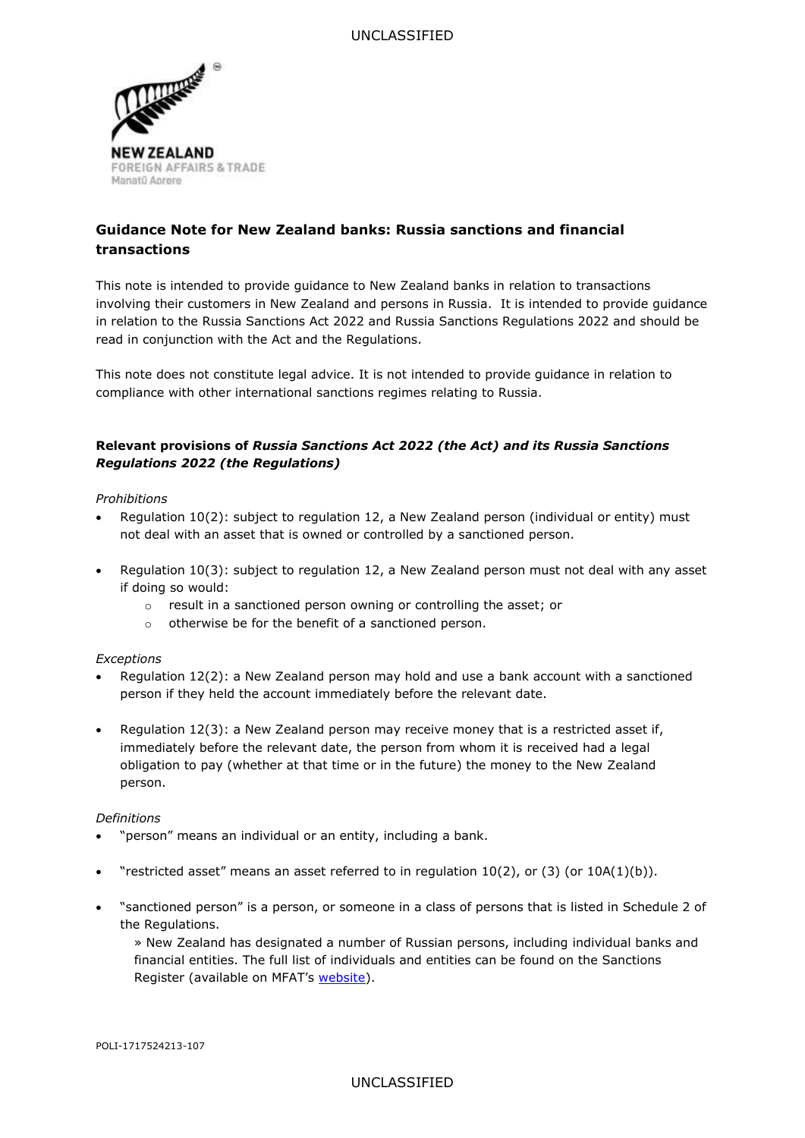

# **Guidance Note for New Zealand banks: Russia sanctions and financial transactions**

This note is intended to provide guidance to New Zealand banks in relation to transactions involving their customers in New Zealand and persons in Russia. It is intended to provide guidance in relation to the Russia Sanctions Act 2022 and Russia Sanctions Regulations 2022 and should be read in conjunction with the Act and the Regulations.

This note does not constitute legal advice. It is not intended to provide guidance in relation to compliance with other international sanctions regimes relating to Russia.

# **Relevant provisions of** *Russia Sanctions Act 2022 (the Act) and its Russia Sanctions Regulations 2022 (the Regulations)*

# *Prohibitions*

- Regulation 10(2): subject to regulation 12, a New Zealand person (individual or entity) must not deal with an asset that is owned or controlled by a sanctioned person.
- Regulation 10(3): subject to regulation 12, a New Zealand person must not deal with any asset if doing so would:
	- o result in a sanctioned person owning or controlling the asset; or
	- o otherwise be for the benefit of a sanctioned person.

#### *Exceptions*

- Regulation 12(2): a New Zealand person may hold and use a bank account with a sanctioned person if they held the account immediately before the relevant date.
- Regulation 12(3): a New Zealand person may receive money that is a restricted asset if, immediately before the relevant date, the person from whom it is received had a legal obligation to pay (whether at that time or in the future) the money to the New Zealand person.

#### *Definitions*

- "person" means an individual or an entity, including a bank.
- "restricted asset" means an asset referred to in regulation  $10(2)$ , or (3) (or  $10A(1)(b)$ ).
- "sanctioned person" is a person, or someone in a class of persons that is listed in Schedule 2 of the Regulations.
	- » New Zealand has designated a number of Russian persons, including individual banks and financial entities. The full list of individuals and entities can be found on the Sanctions Register (available on MFAT's [website\)](https://www.mfat.govt.nz/en/countries-and-regions/europe/ukraine/russian-invasion-of-ukraine/sanctions/).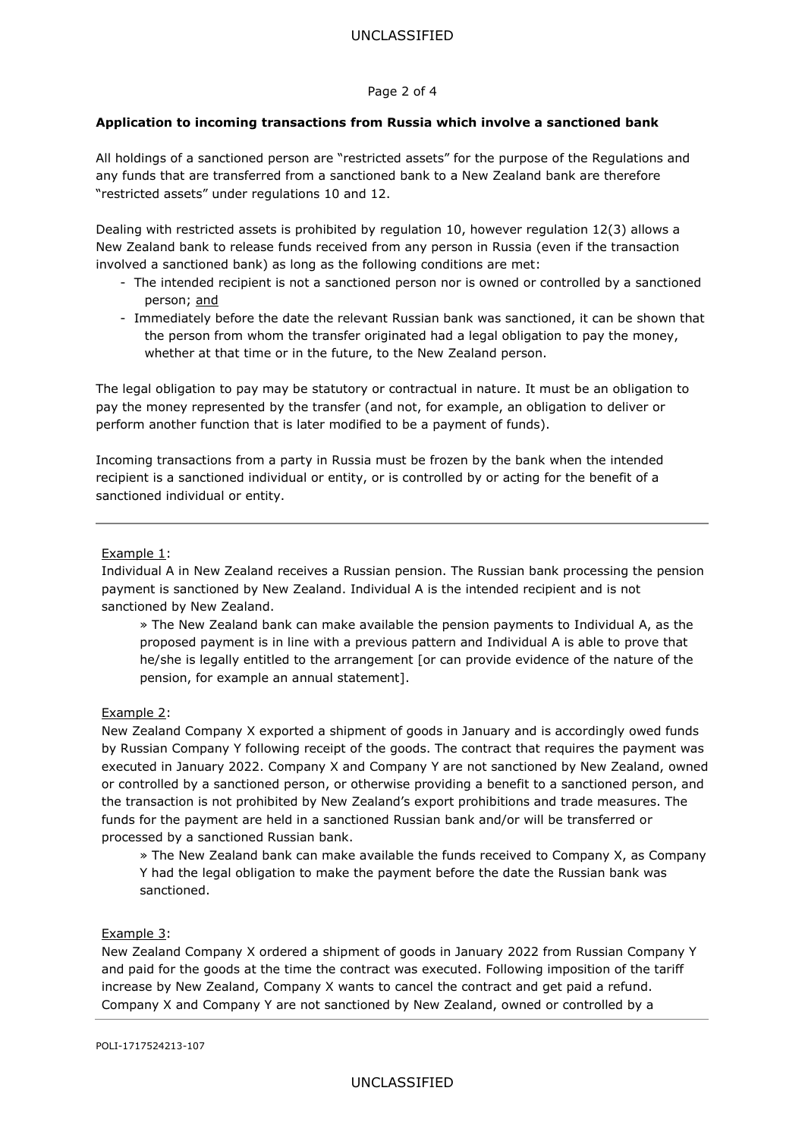### Page 2 of 4

# **Application to incoming transactions from Russia which involve a sanctioned bank**

All holdings of a sanctioned person are "restricted assets" for the purpose of the Regulations and any funds that are transferred from a sanctioned bank to a New Zealand bank are therefore "restricted assets" under regulations 10 and 12.

Dealing with restricted assets is prohibited by regulation 10, however regulation 12(3) allows a New Zealand bank to release funds received from any person in Russia (even if the transaction involved a sanctioned bank) as long as the following conditions are met:

- The intended recipient is not a sanctioned person nor is owned or controlled by a sanctioned person; and
- Immediately before the date the relevant Russian bank was sanctioned, it can be shown that the person from whom the transfer originated had a legal obligation to pay the money, whether at that time or in the future, to the New Zealand person.

The legal obligation to pay may be statutory or contractual in nature. It must be an obligation to pay the money represented by the transfer (and not, for example, an obligation to deliver or perform another function that is later modified to be a payment of funds).

Incoming transactions from a party in Russia must be frozen by the bank when the intended recipient is a sanctioned individual or entity, or is controlled by or acting for the benefit of a sanctioned individual or entity.

#### Example 1:

Individual A in New Zealand receives a Russian pension. The Russian bank processing the pension payment is sanctioned by New Zealand. Individual A is the intended recipient and is not sanctioned by New Zealand.

» The New Zealand bank can make available the pension payments to Individual A, as the proposed payment is in line with a previous pattern and Individual A is able to prove that he/she is legally entitled to the arrangement [or can provide evidence of the nature of the pension, for example an annual statement].

# Example 2:

New Zealand Company X exported a shipment of goods in January and is accordingly owed funds by Russian Company Y following receipt of the goods. The contract that requires the payment was executed in January 2022. Company X and Company Y are not sanctioned by New Zealand, owned or controlled by a sanctioned person, or otherwise providing a benefit to a sanctioned person, and the transaction is not prohibited by New Zealand's export prohibitions and trade measures. The funds for the payment are held in a sanctioned Russian bank and/or will be transferred or processed by a sanctioned Russian bank.

» The New Zealand bank can make available the funds received to Company X, as Company Y had the legal obligation to make the payment before the date the Russian bank was sanctioned.

#### Example 3:

New Zealand Company X ordered a shipment of goods in January 2022 from Russian Company Y and paid for the goods at the time the contract was executed. Following imposition of the tariff increase by New Zealand, Company X wants to cancel the contract and get paid a refund. Company X and Company Y are not sanctioned by New Zealand, owned or controlled by a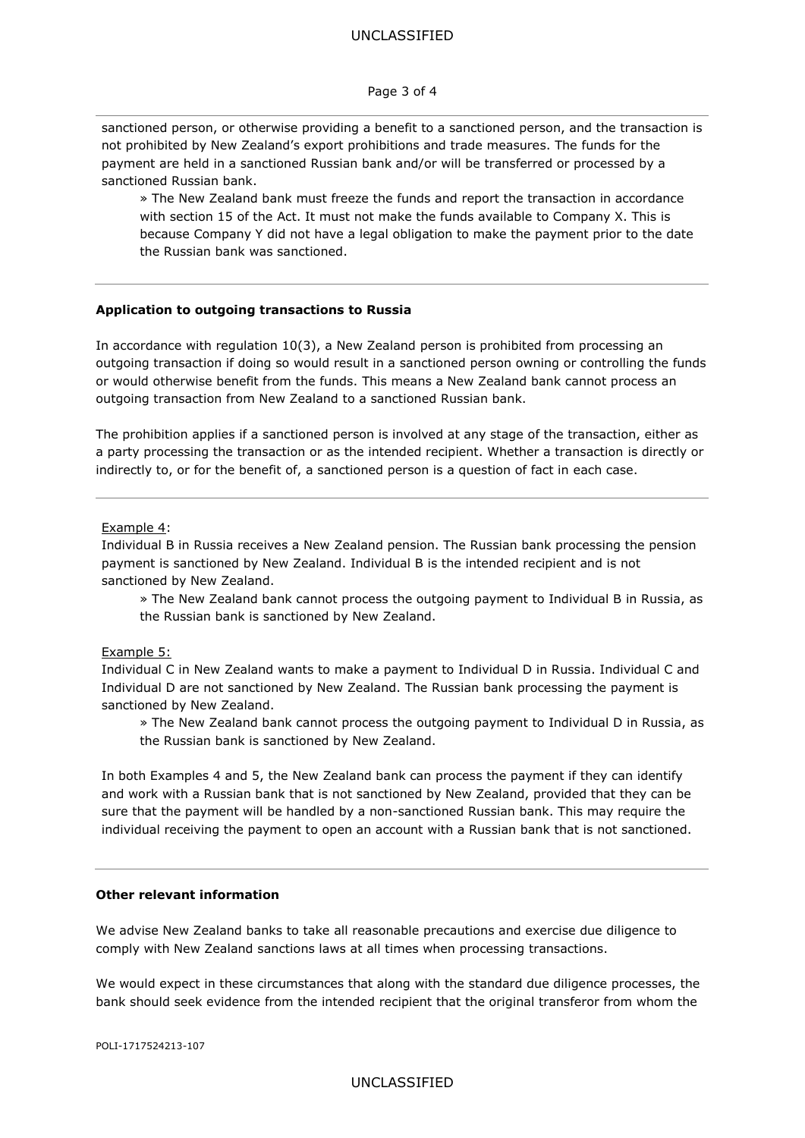#### UNCLASSIFIED

#### Page 3 of 4

sanctioned person, or otherwise providing a benefit to a sanctioned person, and the transaction is not prohibited by New Zealand's export prohibitions and trade measures. The funds for the payment are held in a sanctioned Russian bank and/or will be transferred or processed by a sanctioned Russian bank.

» The New Zealand bank must freeze the funds and report the transaction in accordance with section 15 of the Act. It must not make the funds available to Company X. This is because Company Y did not have a legal obligation to make the payment prior to the date the Russian bank was sanctioned.

#### **Application to outgoing transactions to Russia**

In accordance with regulation 10(3), a New Zealand person is prohibited from processing an outgoing transaction if doing so would result in a sanctioned person owning or controlling the funds or would otherwise benefit from the funds. This means a New Zealand bank cannot process an outgoing transaction from New Zealand to a sanctioned Russian bank.

The prohibition applies if a sanctioned person is involved at any stage of the transaction, either as a party processing the transaction or as the intended recipient. Whether a transaction is directly or indirectly to, or for the benefit of, a sanctioned person is a question of fact in each case.

#### Example 4:

Individual B in Russia receives a New Zealand pension. The Russian bank processing the pension payment is sanctioned by New Zealand. Individual B is the intended recipient and is not sanctioned by New Zealand.

» The New Zealand bank cannot process the outgoing payment to Individual B in Russia, as the Russian bank is sanctioned by New Zealand.

#### Example 5:

Individual C in New Zealand wants to make a payment to Individual D in Russia. Individual C and Individual D are not sanctioned by New Zealand. The Russian bank processing the payment is sanctioned by New Zealand.

» The New Zealand bank cannot process the outgoing payment to Individual D in Russia, as the Russian bank is sanctioned by New Zealand.

In both Examples 4 and 5, the New Zealand bank can process the payment if they can identify and work with a Russian bank that is not sanctioned by New Zealand, provided that they can be sure that the payment will be handled by a non-sanctioned Russian bank. This may require the individual receiving the payment to open an account with a Russian bank that is not sanctioned.

### **Other relevant information**

We advise New Zealand banks to take all reasonable precautions and exercise due diligence to comply with New Zealand sanctions laws at all times when processing transactions.

We would expect in these circumstances that along with the standard due diligence processes, the bank should seek evidence from the intended recipient that the original transferor from whom the